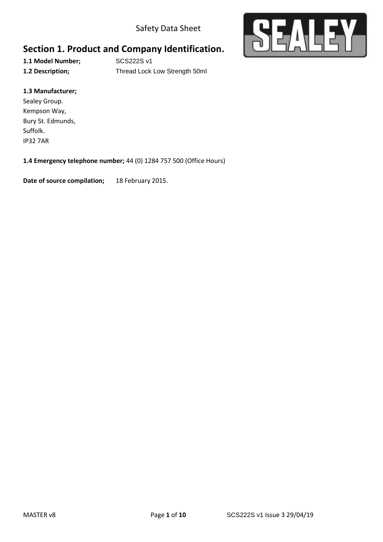Safety Data Sheet



# **Section 1. Product and Company Identification.**

**1.1 Model Number;** SCS222S v1

**1.2 Description;** Thread Lock Low Strength 50ml

#### **1.3 Manufacturer;**

Sealey Group. Kempson Way, Bury St. Edmunds, Suffolk. IP32 7AR

#### **1.4 Emergency telephone number;** 44 (0) 1284 757 500 (Office Hours)

**Date of source compilation;** 18 February 2015.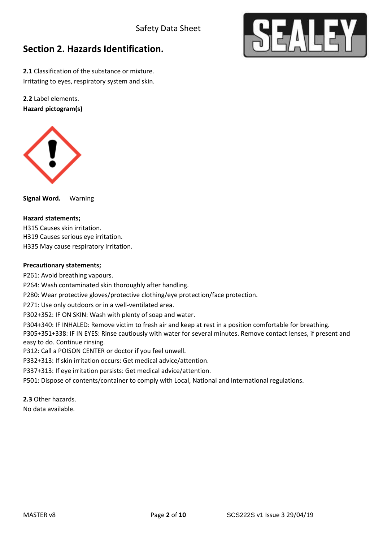

## **Section 2. Hazards Identification.**

**2.1** Classification of the substance or mixture. Irritating to eyes, respiratory system and skin.

**2.2** Label elements. **Hazard pictogram(s)**



**Signal Word.** Warning

#### **Hazard statements;**

H315 Causes skin irritation. H319 Causes serious eye irritation.

H335 May cause respiratory irritation.

#### **Precautionary statements;**

P261: Avoid breathing vapours.

P264: Wash contaminated skin thoroughly after handling.

P280: Wear protective gloves/protective clothing/eye protection/face protection.

P271: Use only outdoors or in a well-ventilated area.

P302+352: IF ON SKIN: Wash with plenty of soap and water.

P304+340: IF INHALED: Remove victim to fresh air and keep at rest in a position comfortable for breathing.

P305+351+338: IF IN EYES: Rinse cautiously with water for several minutes. Remove contact lenses, if present and easy to do. Continue rinsing.

P312: Call a POISON CENTER or doctor if you feel unwell.

P332+313: If skin irritation occurs: Get medical advice/attention.

P337+313: If eye irritation persists: Get medical advice/attention.

P501: Dispose of contents/container to comply with Local, National and International regulations.

**2.3** Other hazards.

No data available.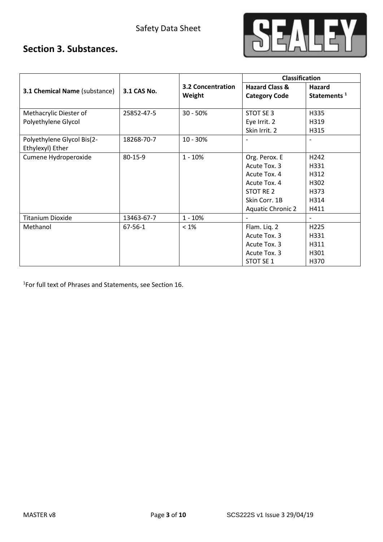

## **Section 3. Substances.**

|                                      |               |                          | <b>Classification</b>     |                          |
|--------------------------------------|---------------|--------------------------|---------------------------|--------------------------|
| <b>3.1 Chemical Name (substance)</b> | 3.1 CAS No.   | <b>3.2 Concentration</b> | <b>Hazard Class &amp;</b> | Hazard                   |
|                                      |               | Weight                   | <b>Category Code</b>      | Statements <sup>1</sup>  |
|                                      |               |                          |                           |                          |
| Methacrylic Diester of               | 25852-47-5    | $30 - 50%$               | STOT SE 3                 | H335                     |
| Polyethylene Glycol                  |               |                          | Eye Irrit. 2              | H319                     |
|                                      |               |                          | Skin Irrit. 2             | H315                     |
| Polyethylene Glycol Bis(2-           | 18268-70-7    | 10 - 30%                 |                           |                          |
| Ethylexyl) Ether                     |               |                          |                           |                          |
| Cumene Hydroperoxide                 | $80 - 15 - 9$ | $1 - 10%$                | Org. Perox. E             | H242                     |
|                                      |               |                          | Acute Tox. 3              | H331                     |
|                                      |               |                          | Acute Tox. 4              | H312                     |
|                                      |               |                          | Acute Tox. 4              | H302                     |
|                                      |               |                          | STOT RE 2                 | H373                     |
|                                      |               |                          | Skin Corr. 1B             | H314                     |
|                                      |               |                          | <b>Aquatic Chronic 2</b>  | H411                     |
| <b>Titanium Dioxide</b>              | 13463-67-7    | $1 - 10%$                |                           | $\overline{\phantom{a}}$ |
| Methanol                             | 67-56-1       | $< 1\%$                  | Flam. Liq. 2              | H <sub>225</sub>         |
|                                      |               |                          | Acute Tox. 3              | H331                     |
|                                      |               |                          | Acute Tox. 3              | H311                     |
|                                      |               |                          | Acute Tox. 3              | H301                     |
|                                      |               |                          | STOT SE 1                 | H370                     |

1 For full text of Phrases and Statements, see Section 16.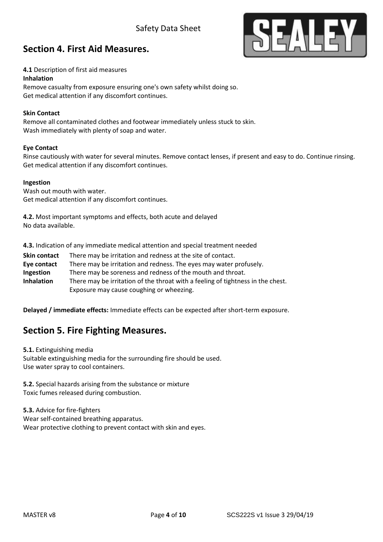### Safety Data Sheet



### **Section 4. First Aid Measures.**

#### **4.1** Description of first aid measures

#### **Inhalation**

Remove casualty from exposure ensuring one's own safety whilst doing so. Get medical attention if any discomfort continues.

#### **Skin Contact**

Remove all contaminated clothes and footwear immediately unless stuck to skin. Wash immediately with plenty of soap and water.

#### **Eye Contact**

Rinse cautiously with water for several minutes. Remove contact lenses, if present and easy to do. Continue rinsing. Get medical attention if any discomfort continues.

#### **Ingestion**

Wash out mouth with water. Get medical attention if any discomfort continues.

**4.2.** Most important symptoms and effects, both acute and delayed No data available.

**4.3.** Indication of any immediate medical attention and special treatment needed

**Skin contact** There may be irritation and redness at the site of contact. **Eye contact** There may be irritation and redness. The eyes may water profusely. **Ingestion** There may be soreness and redness of the mouth and throat. **Inhalation** There may be irritation of the throat with a feeling of tightness in the chest. Exposure may cause coughing or wheezing.

**Delayed / immediate effects:** Immediate effects can be expected after short-term exposure.

### **Section 5. Fire Fighting Measures.**

**5.1.** Extinguishing media Suitable extinguishing media for the surrounding fire should be used. Use water spray to cool containers.

**5.2.** Special hazards arising from the substance or mixture Toxic fumes released during combustion.

**5.3.** Advice for fire-fighters Wear self-contained breathing apparatus. Wear protective clothing to prevent contact with skin and eyes.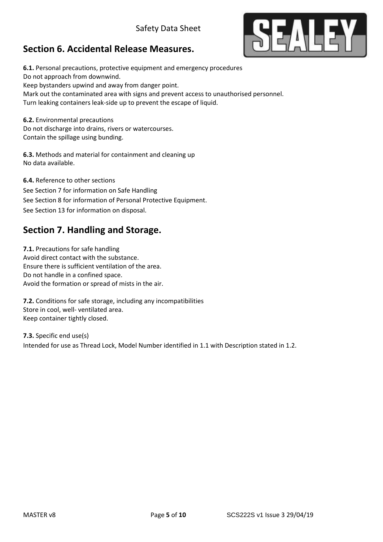# **Section 6. Accidental Release Measures.**



**6.1.** Personal precautions, protective equipment and emergency procedures Do not approach from downwind. Keep bystanders upwind and away from danger point. Mark out the contaminated area with signs and prevent access to unauthorised personnel. Turn leaking containers leak-side up to prevent the escape of liquid.

**6.2.** Environmental precautions Do not discharge into drains, rivers or watercourses. Contain the spillage using bunding.

**6.3.** Methods and material for containment and cleaning up No data available.

**6.4.** Reference to other sections See Section 7 for information on Safe Handling See Section 8 for information of Personal Protective Equipment. See Section 13 for information on disposal.

## **Section 7. Handling and Storage.**

**7.1.** Precautions for safe handling Avoid direct contact with the substance. Ensure there is sufficient ventilation of the area. Do not handle in a confined space. Avoid the formation or spread of mists in the air.

**7.2.** Conditions for safe storage, including any incompatibilities Store in cool, well- ventilated area. Keep container tightly closed.

**7.3.** Specific end use(s) Intended for use as Thread Lock, Model Number identified in 1.1 with Description stated in 1.2.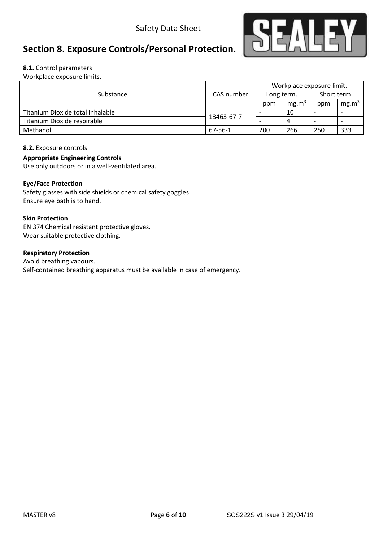

# **Section 8. Exposure Controls/Personal Protection.**

#### **8.1.** Control parameters

Workplace exposure limits.

|                                  |            | Workplace exposure limit. |                   |                          |                          |
|----------------------------------|------------|---------------------------|-------------------|--------------------------|--------------------------|
| Substance                        | CAS number | Long term.                |                   | Short term.              |                          |
|                                  |            | ppm                       | mg.m <sup>3</sup> | ppm                      | mg.m <sup>3</sup>        |
| Titanium Dioxide total inhalable |            |                           | 10                | $\overline{\phantom{a}}$ |                          |
| Titanium Dioxide respirable      | 13463-67-7 | $\overline{\phantom{0}}$  | 4                 | $\overline{\phantom{0}}$ | $\overline{\phantom{0}}$ |
| Methanol                         | 67-56-1    | 200                       | 266               | 250                      | 333                      |

#### **8.2.** Exposure controls

#### **Appropriate Engineering Controls**

Use only outdoors or in a well-ventilated area.

#### **Eye/Face Protection**

Safety glasses with side shields or chemical safety goggles. Ensure eye bath is to hand.

#### **Skin Protection**

EN 374 Chemical resistant protective gloves. Wear suitable protective clothing.

#### **Respiratory Protection**

Avoid breathing vapours. Self-contained breathing apparatus must be available in case of emergency.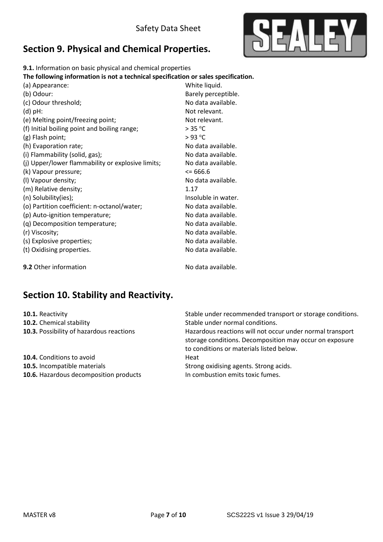

## **Section 9. Physical and Chemical Properties.**

**9.1.** Information on basic physical and chemical properties

**The following information is not a technical specification or sales specification.**

| (a) Appearance:                                   | White liquid.       |
|---------------------------------------------------|---------------------|
| (b) Odour:                                        | Barely perceptible. |
| (c) Odour threshold;                              | No data available.  |
| $(d)$ pH:                                         | Not relevant.       |
| (e) Melting point/freezing point;                 | Not relevant.       |
| (f) Initial boiling point and boiling range;      | > 35 °C             |
| (g) Flash point;                                  | $>93$ °C            |
| (h) Evaporation rate;                             | No data available.  |
| (i) Flammability (solid, gas);                    | No data available.  |
| (j) Upper/lower flammability or explosive limits; | No data available.  |
| (k) Vapour pressure;                              | $\leq$ 666.6        |
| (I) Vapour density;                               | No data available.  |
| (m) Relative density;                             | 1.17                |
| (n) Solubility(ies);                              | Insoluble in water. |
| (o) Partition coefficient: n-octanol/water;       | No data available.  |
| (p) Auto-ignition temperature;                    | No data available.  |
| (q) Decomposition temperature;                    | No data available.  |
| (r) Viscosity;                                    | No data available.  |
| (s) Explosive properties;                         | No data available.  |
| (t) Oxidising properties.                         | No data available.  |
| 9.2 Other information                             | No data available.  |

## **Section 10. Stability and Reactivity.**

**10.2.** Chemical stability **10.2.** Chemical stability

**10.4.** Conditions to avoid **Heat 10.5.** Incompatible materials **10.5.** Strong oxidising agents. Strong acids. **10.6.** Hazardous decomposition products In combustion emits toxic fumes.

**10.1.** Reactivity **10.1.** Reactivity **10.1.** Reactivity

**10.3.** Possibility of hazardous reactions **Hazardous reactions will not occur under normal transport** storage conditions. Decomposition may occur on exposure to conditions or materials listed below.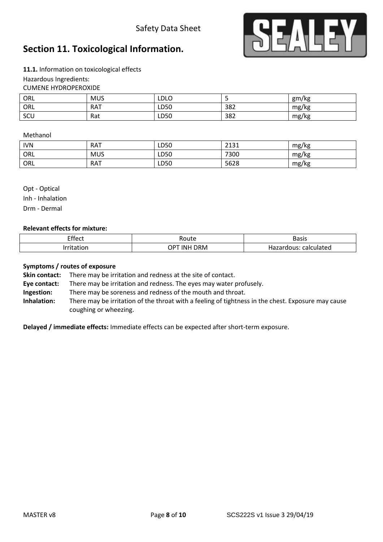### Safety Data Sheet



## **Section 11. Toxicological Information.**

**11.1.** Information on toxicological effects Hazardous Ingredients: CUMENE HYDROPEROXIDE

| ORL | <b>MUS</b> | LDLO |     | gm/kg |
|-----|------------|------|-----|-------|
| ORL | <b>RAT</b> | LD50 | 382 | mg/kg |
| SCU | Rat        | LD50 | 382 | mg/kg |

#### Methanol

| <b>IVN</b> | <b>RAT</b> | LD50 | 7121<br>لادبك | mg/kg |
|------------|------------|------|---------------|-------|
| ORL        | <b>MUS</b> | LD50 | 7300          | mg/kg |
| ORL        | <b>RAT</b> | LD50 | 5628          | mg/kg |

Opt - Optical Inh - Inhalation Drm - Dermal

#### **Relevant effects for mixture:**

| Effect<br>___ | 'oute                | <b>Basis</b>                                   |
|---------------|----------------------|------------------------------------------------|
| __            | ר ORM<br>INI<br>י טו | calculated<br>.<br><b>Tialed</b><br>uous<br>٦d |

#### **Symptoms / routes of exposure**

**Skin contact:** There may be irritation and redness at the site of contact.

**Eye contact:** There may be irritation and redness. The eyes may water profusely.

**Ingestion:** There may be soreness and redness of the mouth and throat.

**Inhalation:** There may be irritation of the throat with a feeling of tightness in the chest. Exposure may cause coughing or wheezing.

**Delayed / immediate effects:** Immediate effects can be expected after short-term exposure.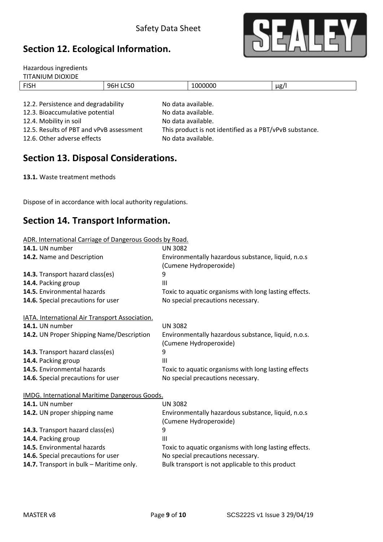## **Section 12. Ecological Information.**



| Hazardous ingredients               |          |                    |           |
|-------------------------------------|----------|--------------------|-----------|
| <b>TITANIUM DIOXIDE</b>             |          |                    |           |
| <b>FISH</b>                         | 96H LC50 | 1000000            | $\mu$ g/l |
|                                     |          |                    |           |
| 12.2. Persistence and degradability |          | No data available. |           |
| 12.3. Bioaccumulative potential     |          | No data available. |           |

12.6. Other adverse effects No data available.

12.4. Mobility in soil and a solution of the No data available. 12.5. Results of PBT and vPvB assessment This product is not identified as a PBT/vPvB substance.

### **Section 13. Disposal Considerations.**

**13.1.** Waste treatment methods

Dispose of in accordance with local authority regulations.

### **Section 14. Transport Information.**

| ADR. International Carriage of Dangerous Goods by Road. |
|---------------------------------------------------------|
|---------------------------------------------------------|

| <b>14.1.</b> UN number                                | <b>UN 3082</b>                                        |  |  |
|-------------------------------------------------------|-------------------------------------------------------|--|--|
| 14.2. Name and Description                            | Environmentally hazardous substance, liquid, n.o.s    |  |  |
|                                                       | (Cumene Hydroperoxide)                                |  |  |
| 14.3. Transport hazard class(es)                      | 9                                                     |  |  |
| 14.4. Packing group                                   | $\mathbf{III}$                                        |  |  |
| 14.5. Environmental hazards                           | Toxic to aquatic organisms with long lasting effects. |  |  |
| 14.6. Special precautions for user                    | No special precautions necessary.                     |  |  |
| <b>IATA. International Air Transport Association.</b> |                                                       |  |  |
| 14.1. UN number                                       | <b>UN 3082</b>                                        |  |  |
| 14.2. UN Proper Shipping Name/Description             | Environmentally hazardous substance, liquid, n.o.s.   |  |  |
|                                                       | (Cumene Hydroperoxide)                                |  |  |
| 14.3. Transport hazard class(es)                      | 9                                                     |  |  |
| 14.4. Packing group                                   | III                                                   |  |  |
| 14.5. Environmental hazards                           | Toxic to aquatic organisms with long lasting effects  |  |  |
| 14.6. Special precautions for user                    | No special precautions necessary.                     |  |  |
| <b>IMDG. International Maritime Dangerous Goods.</b>  |                                                       |  |  |
| 14.1. UN number                                       | <b>UN 3082</b>                                        |  |  |
| 14.2. UN proper shipping name                         | Environmentally hazardous substance, liquid, n.o.s    |  |  |
|                                                       | (Cumene Hydroperoxide)                                |  |  |
| 14.3. Transport hazard class(es)                      | 9                                                     |  |  |
| 14.4. Packing group                                   | III                                                   |  |  |
| 14.5. Environmental hazards                           | Toxic to aquatic organisms with long lasting effects. |  |  |
| 14.6. Special precautions for user                    | No special precautions necessary.                     |  |  |
| 14.7. Transport in bulk - Maritime only.              | Bulk transport is not applicable to this product      |  |  |
|                                                       |                                                       |  |  |